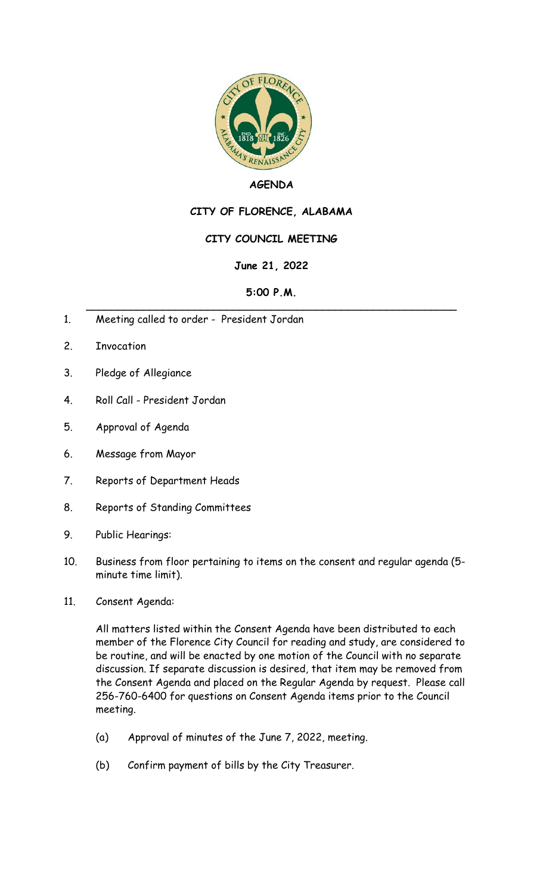

## **AGENDA**

## **CITY OF FLORENCE, ALABAMA**

## **CITY COUNCIL MEETING**

**June 21, 2022**

## **5:00 P.M.**  $\overline{\phantom{a}}$

- 1. Meeting called to order President Jordan
- 2. Invocation
- 3. Pledge of Allegiance
- 4. Roll Call President Jordan
- 5. Approval of Agenda
- 6. Message from Mayor
- 7. Reports of Department Heads
- 8. Reports of Standing Committees
- 9. Public Hearings:
- 10. Business from floor pertaining to items on the consent and regular agenda (5 minute time limit).
- 11. Consent Agenda:

All matters listed within the Consent Agenda have been distributed to each member of the Florence City Council for reading and study, are considered to be routine, and will be enacted by one motion of the Council with no separate discussion. If separate discussion is desired, that item may be removed from the Consent Agenda and placed on the Regular Agenda by request. Please call 256-760-6400 for questions on Consent Agenda items prior to the Council meeting.

- (a) Approval of minutes of the June 7, 2022, meeting.
- (b) Confirm payment of bills by the City Treasurer.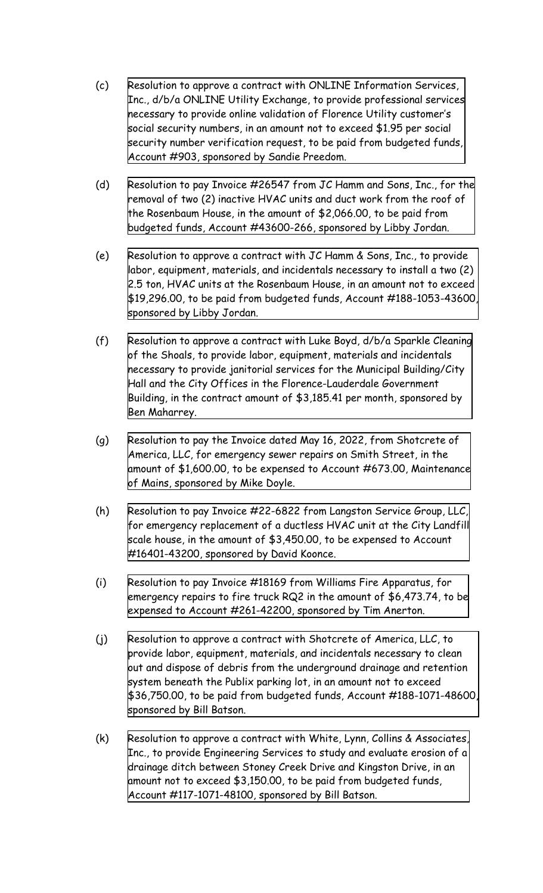- (c) Resolution to approve a contract with ONLINE Information Services, [Inc., d/b/a ONLINE Utility Exchange, to provide professional services](http://www.shoalsweb.com/agenda/06212211c.pdf) necessary to provide online validation of Florence Utility customer's social security numbers, in an amount not to exceed \$1.95 per social security number verification request, to be paid from budgeted funds, Account #903, sponsored by Sandie Preedom.
- (d) [Resolution to pay Invoice #26547 from JC Hamm and Sons, Inc., for the](http://www.shoalsweb.com/agenda/06212211d.pdf) removal of two (2) inactive HVAC units and duct work from the roof of the Rosenbaum House, in the amount of \$2,066.00, to be paid from budgeted funds, Account #43600-266, sponsored by Libby Jordan.
- (e) Resolution to approve a contract with JC Hamm & Sons, Inc., to provide labor, equipment, materials, and incidentals necessary to install a two (2) 2.5 ton, HVAC units at the Rosenbaum House, in an amount not to exceed [\\$19,296.00, to be paid from budgeted funds, Account #188-1053-43600,](http://www.shoalsweb.com/agenda/06212211e.pdf) sponsored by Libby Jordan.
- (f) [Resolution to approve a contract with Luke Boyd, d/b/a Sparkle Cleaning](http://www.shoalsweb.com/agenda/06212211f.pdf) of the Shoals, to provide labor, equipment, materials and incidentals necessary to provide janitorial services for the Municipal Building/City Hall and the City Offices in the Florence-Lauderdale Government Building, in the contract amount of \$3,185.41 per month, sponsored by Ben Maharrey.
- (g) Resolution to pay the Invoice dated May 16, 2022, from Shotcrete of America, LLC, for emergency sewer repairs on Smith Street, in the [amount of \\$1,600.00, to be expensed to Account #673.00, Maintenance](http://www.shoalsweb.com/agenda/06212211g.pdf) of Mains, sponsored by Mike Doyle.
- (h) Resolution to pay Invoice #22-6822 from Langston Service Group, LLC, [for emergency replacement of a ductless HVAC unit at the City Landfill](http://www.shoalsweb.com/agenda/06212211h.pdf) scale house, in the amount of \$3,450.00, to be expensed to Account #16401-43200, sponsored by David Koonce.
- (i) Resolution to pay Invoice #18169 from Williams Fire Apparatus, for [emergency repairs to fire truck RQ2 in the amount of \\$6,473.74, to be](http://www.shoalsweb.com/agenda/06212211i.pdf) expensed to Account #261-42200, sponsored by Tim Anerton.
- (j) Resolution to approve a contract with Shotcrete of America, LLC, to provide labor, equipment, materials, and incidentals necessary to clean out and dispose of debris from the underground drainage and retention system beneath the Publix parking lot, in an amount not to exceed [\\$36,750.00, to be paid from budgeted funds, Account #188-1071-48600,](http://www.shoalsweb.com/agenda/06212211j.pdf) sponsored by Bill Batson.
- (k) [Resolution to approve a contract with White, Lynn, Collins & Associates,](http://www.shoalsweb.com/agenda/06212211k.pdf) Inc., to provide Engineering Services to study and evaluate erosion of a drainage ditch between Stoney Creek Drive and Kingston Drive, in an amount not to exceed \$3,150.00, to be paid from budgeted funds, Account #117-1071-48100, sponsored by Bill Batson.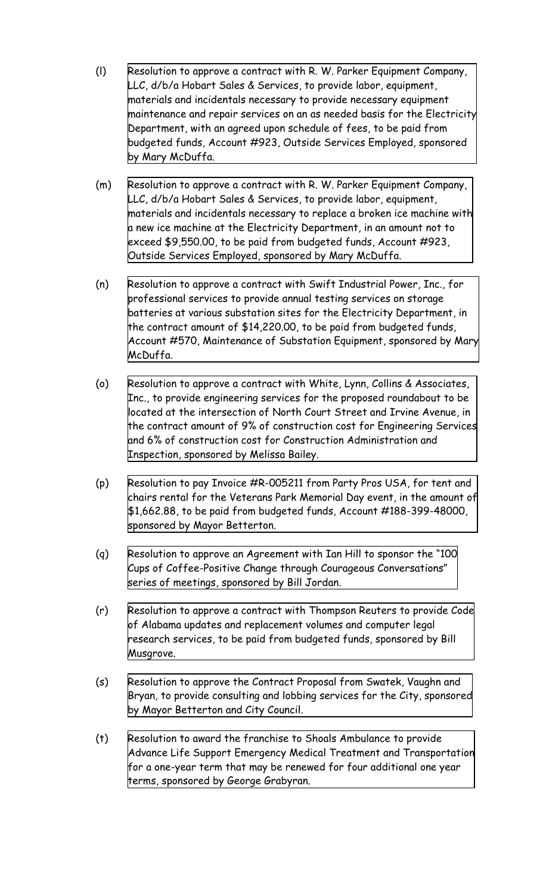- (l) Resolution to approve a contract with R. W. Parker Equipment Company, LLC, d/b/a Hobart Sales & Services, to provide labor, equipment, materials and incidentals necessary to provide necessary equipment [maintenance and repair services on an as needed basis for the Electricity](http://www.shoalsweb.com/agenda/06212211l.pdf) Department, with an agreed upon schedule of fees, to be paid from budgeted funds, Account #923, Outside Services Employed, sponsored by Mary McDuffa.
- (m) Resolution to approve a contract with R. W. Parker Equipment Company, LLC, d/b/a Hobart Sales & Services, to provide labor, equipment, [materials and incidentals necessary to replace a broken ice machine with](http://www.shoalsweb.com/agenda/06212211m.pdf) a new ice machine at the Electricity Department, in an amount not to exceed \$9,550.00, to be paid from budgeted funds, Account #923, Outside Services Employed, sponsored by Mary McDuffa.
- (n) Resolution to approve a contract with Swift Industrial Power, Inc., for professional services to provide annual testing services on storage batteries at various substation sites for the Electricity Department, in the contract amount of \$14,220.00, to be paid from budgeted funds, [Account #570, Maintenance of Substation Equipment, sponsored by Mary](http://www.shoalsweb.com/agenda/06212211n.pdf) McDuffa.
- (o) Resolution to approve a contract with White, Lynn, Collins & Associates, Inc., to provide engineering services for the proposed roundabout to be located at the intersection of North Court Street and Irvine Avenue, in [the contract amount of 9% of construction cost for Engineering Services](http://www.shoalsweb.com/agenda/06212211o.pdf) and 6% of construction cost for Construction Administration and Inspection, sponsored by Melissa Bailey.
- (p) Resolution to pay Invoice #R-005211 from Party Pros USA, for tent and [chairs rental for the Veterans Park Memorial Day event, in the amount of](http://www.shoalsweb.com/agenda/06212211p.pdf) \$1,662.88, to be paid from budgeted funds, Account #188-399-48000, sponsored by Mayor Betterton.
- (q) [Resolution to approve an Agreement with Ian Hill to sponsor the "100](http://www.shoalsweb.com/agenda/06212211q.pdf) Cups of Coffee-Positive Change through Courageous Conversations" series of meetings, sponsored by Bill Jordan.
- (r) [Resolution to approve a contract with Thompson Reuters to provide Code](http://www.shoalsweb.com/agenda/06212211r.pdf) of Alabama updates and replacement volumes and computer legal research services, to be paid from budgeted funds, sponsored by Bill Musgrove.
- (s) Resolution to approve the Contract Proposal from Swatek, Vaughn and [Bryan, to provide consulting and lobbing services for the City, sponsored](http://www.shoalsweb.com/agenda/06212211s.pdf) by Mayor Betterton and City Council.
- (t) Resolution to award the franchise to Shoals Ambulance to provide [Advance Life Support Emergency Medical Treatment and Transportation](http://www.shoalsweb.com/agenda/06212211t.pdf) for a one-year term that may be renewed for four additional one year terms, sponsored by George Grabyran.